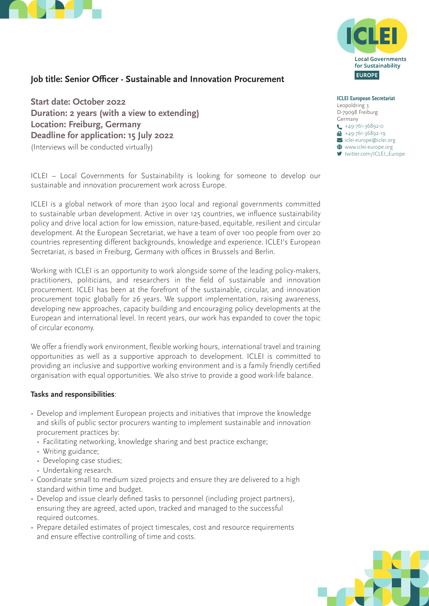



# **Job title: Senior Officer - Sustainable and Innovation Procurement**

**Start date: October 2022 Duration: 2 years (with a view to extending) Location: Freiburg, Germany Deadline for application: 15 July 2022**  (Interviews will be conducted virtually)

ICLEI – Local Governments for Sustainability is looking for someone to develop our sustainable and innovation procurement work across Europe.

ICLEI is a global network of more than 2500 local and regional governments committed to sustainable urban development. Active in over 125 countries, we influence sustainability policy and drive local action for low emission, nature-based, equitable, resilient and circular development. At the European Secretariat, we have a team of over 100 people from over 20 countries representing different backgrounds, knowledge and experience. ICLEI's European Secretariat, is based in Freiburg, Germany with offices in Brussels and Berlin.

Working with ICLEI is an opportunity to work alongside some of the leading policy-makers, practitioners, politicians, and researchers in the field of sustainable and innovation procurement. ICLEI has been at the forefront of the sustainable, circular, and innovation procurement topic globally for 26 years. We support implementation, raising awareness, developing new approaches, capacity building and encouraging policy developments at the European and international level. In recent years, our work has expanded to cover the topic of circular economy.

We offer a friendly work environment, flexible working hours, international travel and training opportunities as well as a supportive approach to development. ICLEI is committed to providing an inclusive and supportive working environment and is a family friendly certified organisation with equal opportunities. We also strive to provide a good work-life balance.

#### **Tasks and responsibilities**:

- Develop and implement European projects and initiatives that improve the knowledge and skills of public sector procurers wanting to implement sustainable and innovation procurement practices by:
	- Facilitating networking, knowledge sharing and best practice exchange;
	- Writing guidance;
	- Developing case studies;
	- Undertaking research.
- Coordinate small to medium sized projects and ensure they are delivered to a high standard within time and budget.
- Develop and issue clearly defined tasks to personnel (including project partners), ensuring they are agreed, acted upon, tracked and managed to the successful required outcomes.
- Prepare detailed estimates of project timescales, cost and resource requirements and ensure effective controlling of time and costs.



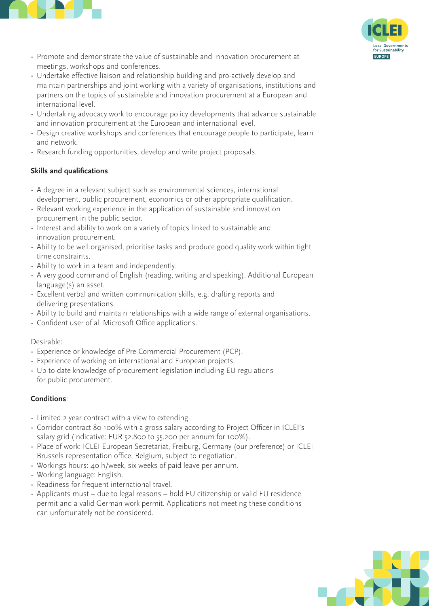



- Promote and demonstrate the value of sustainable and innovation procurement at meetings, workshops and conferences.
- Undertake effective liaison and relationship building and pro-actively develop and maintain partnerships and joint working with a variety of organisations, institutions and partners on the topics of sustainable and innovation procurement at a European and international level.
- Undertaking advocacy work to encourage policy developments that advance sustainable and innovation procurement at the European and international level.
- Design creative workshops and conferences that encourage people to participate, learn and network.
- Research funding opportunities, develop and write project proposals.

# **Skills and qualifications**:

- A degree in a relevant subject such as environmental sciences, international development, public procurement, economics or other appropriate qualification.
- Relevant working experience in the application of sustainable and innovation procurement in the public sector.
- Interest and ability to work on a variety of topics linked to sustainable and innovation procurement.
- Ability to be well organised, prioritise tasks and produce good quality work within tight time constraints.
- Ability to work in a team and independently.
- A very good command of English (reading, writing and speaking). Additional European language(s) an asset.
- Excellent verbal and written communication skills, e.g. drafting reports and delivering presentations.
- Ability to build and maintain relationships with a wide range of external organisations.
- Confident user of all Microsoft Office applications.

## Desirable:

- Experience or knowledge of Pre-Commercial Procurement (PCP).
- Experience of working on international and European projects.
- Up-to-date knowledge of procurement legislation including EU regulations for public procurement.

## **Conditions**:

- Limited 2 year contract with a view to extending.
- Corridor contract 80-100% with a gross salary according to Project Officer in ICLEI's salary grid (indicative: EUR 52.800 to 55.200 per annum for 100%).
- Place of work: ICLEI European Secretariat, Freiburg, Germany (our preference) or ICLEI Brussels representation office, Belgium, subject to negotiation.
- Workings hours: 40 h/week, six weeks of paid leave per annum.
- Working language: English.
- Readiness for frequent international travel.
- Applicants must due to legal reasons hold EU citizenship or valid EU residence permit and a valid German work permit. Applications not meeting these conditions can unfortunately not be considered.